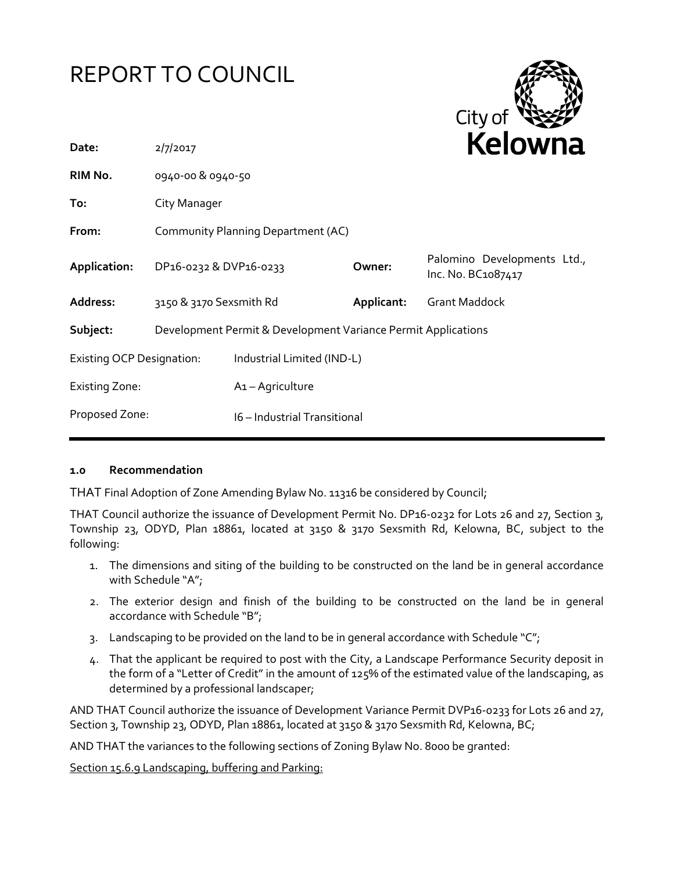# REPORT TO COUNCIL



| 2/7/2017     |                                  |                                                                        | REIUWIId                                                                                                                                                          |
|--------------|----------------------------------|------------------------------------------------------------------------|-------------------------------------------------------------------------------------------------------------------------------------------------------------------|
|              |                                  |                                                                        |                                                                                                                                                                   |
| City Manager |                                  |                                                                        |                                                                                                                                                                   |
|              |                                  |                                                                        |                                                                                                                                                                   |
|              |                                  | Owner:                                                                 | Palomino Developments Ltd.,<br>Inc. No. BC1087417                                                                                                                 |
|              |                                  | Applicant:                                                             | <b>Grant Maddock</b>                                                                                                                                              |
|              |                                  |                                                                        |                                                                                                                                                                   |
|              |                                  |                                                                        |                                                                                                                                                                   |
|              | A <sub>1</sub> - Agriculture     |                                                                        |                                                                                                                                                                   |
|              |                                  |                                                                        |                                                                                                                                                                   |
|              | <b>Existing OCP Designation:</b> | 0940-00 & 0940-50<br>DP16-0232 & DVP16-0233<br>3150 & 3170 Sexsmith Rd | Community Planning Department (AC)<br>Development Permit & Development Variance Permit Applications<br>Industrial Limited (IND-L)<br>16 - Industrial Transitional |

#### **1.0 Recommendation**

THAT Final Adoption of Zone Amending Bylaw No. 11316 be considered by Council;

THAT Council authorize the issuance of Development Permit No. DP16-0232 for Lots 26 and 27, Section 3, Township 23, ODYD, Plan 18861, located at 3150 & 3170 Sexsmith Rd, Kelowna, BC, subject to the following:

- 1. The dimensions and siting of the building to be constructed on the land be in general accordance with Schedule "A";
- 2. The exterior design and finish of the building to be constructed on the land be in general accordance with Schedule "B";
- 3. Landscaping to be provided on the land to be in general accordance with Schedule " $C$ ";
- 4. That the applicant be required to post with the City, a Landscape Performance Security deposit in the form of a "Letter of Credit" in the amount of 125% of the estimated value of the landscaping, as determined by a professional landscaper;

AND THAT Council authorize the issuance of Development Variance Permit DVP16-0233 for Lots 26 and 27, Section 3, Township 23, ODYD, Plan 18861, located at 3150 & 3170 Sexsmith Rd, Kelowna, BC;

AND THAT the variances to the following sections of Zoning Bylaw No. 8000 be granted:

Section 15.6.9 Landscaping, buffering and Parking: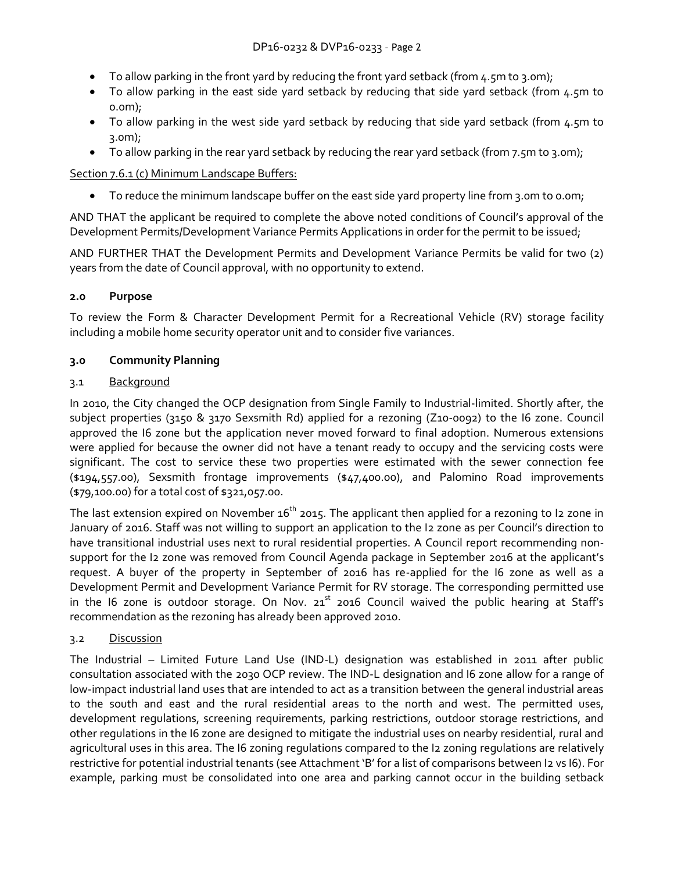- $\bullet$  To allow parking in the front yard by reducing the front yard setback (from 4.5m to 3.0m);
- To allow parking in the east side yard setback by reducing that side yard setback (from 4.5m to 0.0m);
- To allow parking in the west side yard setback by reducing that side yard setback (from 4.5m to 3.0m);
- To allow parking in the rear yard setback by reducing the rear yard setback (from 7.5m to 3.0m);

# Section 7.6.1 (c) Minimum Landscape Buffers:

• To reduce the minimum landscape buffer on the east side yard property line from 3.0m to 0.0m;

AND THAT the applicant be required to complete the above noted conditions of Council's approval of the Development Permits/Development Variance Permits Applications in order for the permit to be issued;

AND FURTHER THAT the Development Permits and Development Variance Permits be valid for two (2) years from the date of Council approval, with no opportunity to extend.

# **2.0 Purpose**

To review the Form & Character Development Permit for a Recreational Vehicle (RV) storage facility including a mobile home security operator unit and to consider five variances.

# **3.0 Community Planning**

# 3.1 Background

In 2010, the City changed the OCP designation from Single Family to Industrial-limited. Shortly after, the subject properties (3150 & 3170 Sexsmith Rd) applied for a rezoning (Z10-0092) to the I6 zone. Council approved the I6 zone but the application never moved forward to final adoption. Numerous extensions were applied for because the owner did not have a tenant ready to occupy and the servicing costs were significant. The cost to service these two properties were estimated with the sewer connection fee (\$194,557.00), Sexsmith frontage improvements (\$47,400.00), and Palomino Road improvements (\$79,100.00) for a total cost of \$321,057.00.

The last extension expired on November  $16<sup>th</sup>$  2015. The applicant then applied for a rezoning to I2 zone in January of 2016. Staff was not willing to support an application to the I2 zone as per Council's direction to have transitional industrial uses next to rural residential properties. A Council report recommending nonsupport for the I2 zone was removed from Council Agenda package in September 2016 at the applicant's request. A buyer of the property in September of 2016 has re-applied for the I6 zone as well as a Development Permit and Development Variance Permit for RV storage. The corresponding permitted use in the I6 zone is outdoor storage. On Nov.  $21^{st}$  2016 Council waived the public hearing at Staff's recommendation as the rezoning has already been approved 2010.

# 3.2 Discussion

The Industrial – Limited Future Land Use (IND-L) designation was established in 2011 after public consultation associated with the 2030 OCP review. The IND-L designation and I6 zone allow for a range of low-impact industrial land uses that are intended to act as a transition between the general industrial areas to the south and east and the rural residential areas to the north and west. The permitted uses, development regulations, screening requirements, parking restrictions, outdoor storage restrictions, and other regulations in the I6 zone are designed to mitigate the industrial uses on nearby residential, rural and agricultural uses in this area. The I6 zoning regulations compared to the I2 zoning regulations are relatively restrictive for potential industrial tenants (see Attachment 'B' for a list of comparisons between I2 vs I6). For example, parking must be consolidated into one area and parking cannot occur in the building setback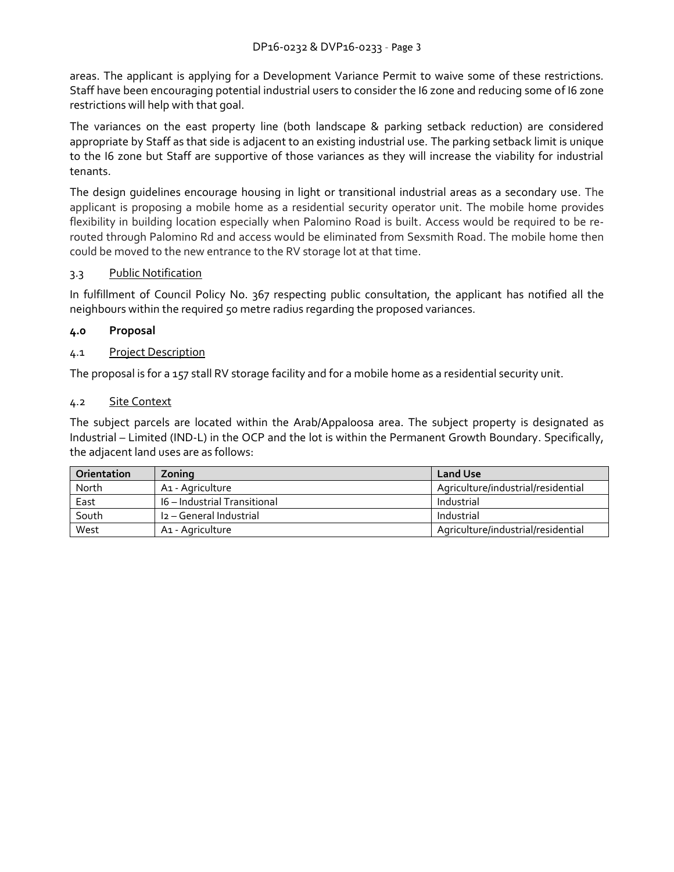areas. The applicant is applying for a Development Variance Permit to waive some of these restrictions. Staff have been encouraging potential industrial users to consider the I6 zone and reducing some of I6 zone restrictions will help with that goal.

The variances on the east property line (both landscape & parking setback reduction) are considered appropriate by Staff as that side is adjacent to an existing industrial use. The parking setback limit is unique to the I6 zone but Staff are supportive of those variances as they will increase the viability for industrial tenants.

The design guidelines encourage housing in light or transitional industrial areas as a secondary use. The applicant is proposing a mobile home as a residential security operator unit. The mobile home provides flexibility in building location especially when Palomino Road is built. Access would be required to be rerouted through Palomino Rd and access would be eliminated from Sexsmith Road. The mobile home then could be moved to the new entrance to the RV storage lot at that time.

# 3.3 Public Notification

In fulfillment of Council Policy No. 367 respecting public consultation, the applicant has notified all the neighbours within the required 50 metre radius regarding the proposed variances.

#### **4.0 Proposal**

#### 4.1 Project Description

The proposal is for a 157 stall RV storage facility and for a mobile home as a residential security unit.

#### 4.2 Site Context

The subject parcels are located within the Arab/Appaloosa area. The subject property is designated as Industrial – Limited (IND-L) in the OCP and the lot is within the Permanent Growth Boundary. Specifically, the adjacent land uses are as follows:

| Orientation | Zoning                              | <b>Land Use</b>                    |
|-------------|-------------------------------------|------------------------------------|
| North       | A1 - Agriculture                    | Agriculture/industrial/residential |
| East        | <b>16 – Industrial Transitional</b> | Industrial                         |
| South       | I2 - General Industrial             | Industrial                         |
| West        | A <sub>1</sub> - Agriculture        | Agriculture/industrial/residential |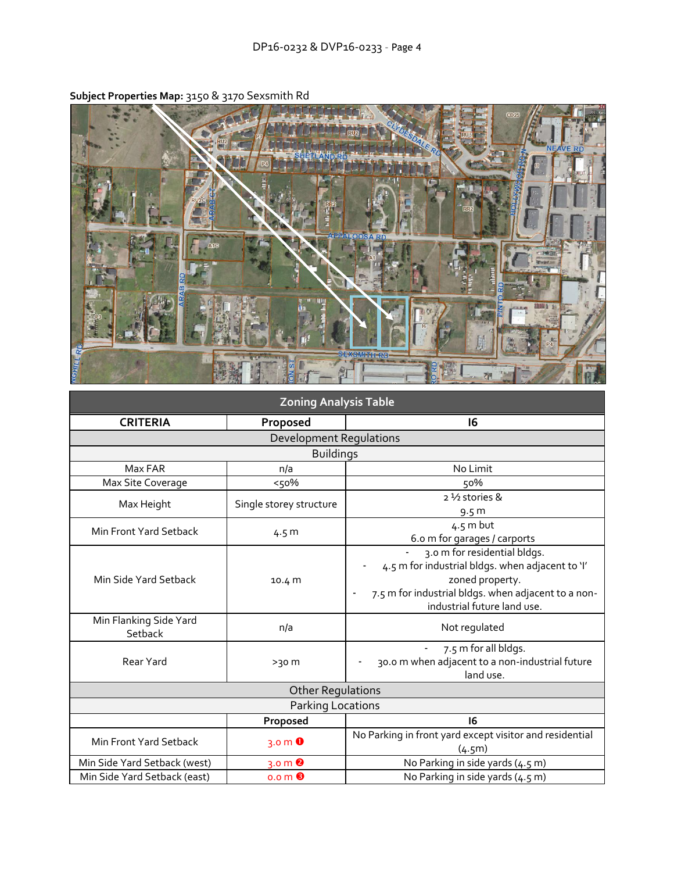

**Subject Properties Map:** 3150 & 3170 Sexsmith Rd

| <b>Zoning Analysis Table</b>      |                                               |                                                                                                                                                                                                             |
|-----------------------------------|-----------------------------------------------|-------------------------------------------------------------------------------------------------------------------------------------------------------------------------------------------------------------|
| <b>CRITERIA</b>                   | Proposed                                      | 16                                                                                                                                                                                                          |
|                                   | Development Regulations                       |                                                                                                                                                                                                             |
|                                   | <b>Buildings</b>                              |                                                                                                                                                                                                             |
| Max FAR                           | n/a                                           | No Limit                                                                                                                                                                                                    |
| Max Site Coverage                 | $<50\%$                                       | 50%                                                                                                                                                                                                         |
| Max Height                        | Single storey structure                       | 2 1/2 stories &<br>9.5 m                                                                                                                                                                                    |
| Min Front Yard Setback            | 4.5 <sub>m</sub>                              | $4.5$ m but<br>6.0 m for garages / carports                                                                                                                                                                 |
| Min Side Yard Setback             | 10.4 m                                        | 3.0 m for residential bldgs.<br>4.5 m for industrial bldgs. when adjacent to 'l'<br>zoned property.<br>7.5 m for industrial bldgs. when adjacent to a non-<br>$\overline{a}$<br>industrial future land use. |
| Min Flanking Side Yard<br>Setback | n/a                                           | Not regulated                                                                                                                                                                                               |
| Rear Yard                         | $>30$ m                                       | 7.5 m for all bldgs.<br>30.0 m when adjacent to a non-industrial future<br>land use.                                                                                                                        |
|                                   | <b>Other Regulations</b>                      |                                                                                                                                                                                                             |
|                                   | Parking Locations                             |                                                                                                                                                                                                             |
|                                   | Proposed                                      | 16                                                                                                                                                                                                          |
| Min Front Yard Setback            | 3.0 $m$ $\bullet$                             | No Parking in front yard except visitor and residential<br>(4.5m)                                                                                                                                           |
| Min Side Yard Setback (west)      | $3.0 \text{ m}$ <sup><math>\odot</math></sup> | No Parking in side yards (4.5 m)                                                                                                                                                                            |
| Min Side Yard Setback (east)      | 0.0 <sub>m</sub>                              | No Parking in side yards (4.5 m)                                                                                                                                                                            |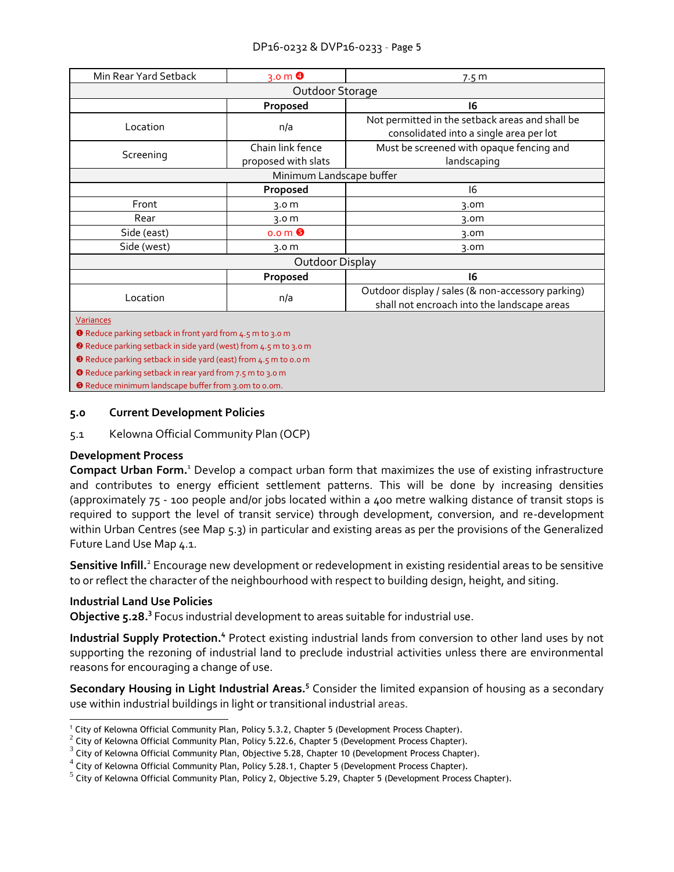| Min Rear Yard Setback                                                          | $3.0 \text{ m}$ <sup><math>\odot</math></sup> | 7.5 <sub>m</sub>                                                                                 |  |
|--------------------------------------------------------------------------------|-----------------------------------------------|--------------------------------------------------------------------------------------------------|--|
| Outdoor Storage                                                                |                                               |                                                                                                  |  |
|                                                                                | Proposed                                      | 16                                                                                               |  |
| Location                                                                       | n/a                                           | Not permitted in the setback areas and shall be<br>consolidated into a single area per lot       |  |
| Screening                                                                      | Chain link fence<br>proposed with slats       | Must be screened with opaque fencing and<br>landscaping                                          |  |
|                                                                                | Minimum Landscape buffer                      |                                                                                                  |  |
|                                                                                | Proposed                                      | 16                                                                                               |  |
| Front                                                                          | 3.0 m                                         | 3.0 <sub>m</sub>                                                                                 |  |
| Rear                                                                           | 3.0 m                                         | 3.0 <sub>m</sub>                                                                                 |  |
| Side (east)                                                                    | $0.0 \, \text{m}$ $\Theta$                    | 3.0m                                                                                             |  |
| Side (west)                                                                    | 3.0 m                                         | 3.0 <sub>m</sub>                                                                                 |  |
| Outdoor Display                                                                |                                               |                                                                                                  |  |
|                                                                                | Proposed                                      | 16                                                                                               |  |
| Location                                                                       | n/a                                           | Outdoor display / sales (& non-accessory parking)<br>shall not encroach into the landscape areas |  |
| Variances<br><b>O</b> Reduce parking setback in front yard from 4.5 m to 3.0 m |                                               |                                                                                                  |  |

Reduce parking setback in side yard (west) from 4.5 m to 3.0 m

Reduce parking setback in side yard (east) from 4.5 m to 0.0 m

**O** Reduce parking setback in rear yard from 7.5 m to 3.0 m

**O** Reduce minimum landscape buffer from 3.0m to 0.0m.

#### **5.0 Current Development Policies**

5.1 Kelowna Official Community Plan (OCP)

#### **Development Process**

**Compact Urban Form.**<sup>1</sup> Develop a compact urban form that maximizes the use of existing infrastructure and contributes to energy efficient settlement patterns. This will be done by increasing densities (approximately 75 - 100 people and/or jobs located within a 400 metre walking distance of transit stops is required to support the level of transit service) through development, conversion, and re-development within Urban Centres (see Map 5.3) in particular and existing areas as per the provisions of the Generalized Future Land Use Map 4.1.

Sensitive Infill.<sup>2</sup> Encourage new development or redevelopment in existing residential areas to be sensitive to or reflect the character of the neighbourhood with respect to building design, height, and siting.

#### **Industrial Land Use Policies**

**Objective 5.28.<sup>3</sup>** Focus industrial development to areas suitable for industrial use.

Industrial Supply Protection.<sup>4</sup> Protect existing industrial lands from conversion to other land uses by not supporting the rezoning of industrial land to preclude industrial activities unless there are environmental reasons for encouraging a change of use.

Secondary Housing in Light Industrial Areas.<sup>5</sup> Consider the limited expansion of housing as a secondary use within industrial buildings in light or transitional industrial areas.

<sup>1</sup> <sup>1</sup> City of Kelowna Official Community Plan, Policy 5.3.2, Chapter 5 (Development Process Chapter).

 $^2$  City of Kelowna Official Community Plan, Policy 5.22.6, Chapter 5 (Development Process Chapter).

 $^3$  City of Kelowna Official Community Plan, Objective 5.28, Chapter 10 (Development Process Chapter).

 $^4$  City of Kelowna Official Community Plan, Policy 5.28.1, Chapter 5 (Development Process Chapter).

 $^5$  City of Kelowna Official Community Plan, Policy 2, Objective 5.29, Chapter 5 (Development Process Chapter).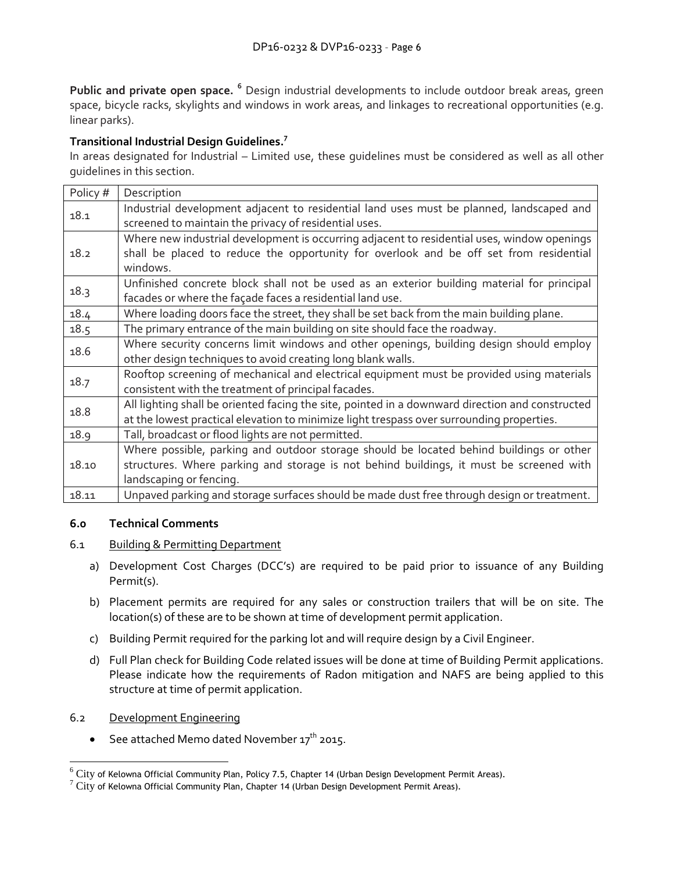**Public and private open space. <sup>6</sup>** Design industrial developments to include outdoor break areas, green space, bicycle racks, skylights and windows in work areas, and linkages to recreational opportunities (e.g. linear parks).

# **Transitional Industrial Design Guidelines. 7**

In areas designated for Industrial – Limited use, these guidelines must be considered as well as all other guidelines in this section.

| Policy # | Description                                                                                     |
|----------|-------------------------------------------------------------------------------------------------|
| 18.1     | Industrial development adjacent to residential land uses must be planned, landscaped and        |
|          | screened to maintain the privacy of residential uses.                                           |
|          | Where new industrial development is occurring adjacent to residential uses, window openings     |
| 18.2     | shall be placed to reduce the opportunity for overlook and be off set from residential          |
|          | windows.                                                                                        |
| 18.3     | Unfinished concrete block shall not be used as an exterior building material for principal      |
|          | facades or where the façade faces a residential land use.                                       |
| 18.4     | Where loading doors face the street, they shall be set back from the main building plane.       |
| 18.5     | The primary entrance of the main building on site should face the roadway.                      |
| 18.6     | Where security concerns limit windows and other openings, building design should employ         |
|          | other design techniques to avoid creating long blank walls.                                     |
| 18.7     | Rooftop screening of mechanical and electrical equipment must be provided using materials       |
|          | consistent with the treatment of principal facades.                                             |
| 18.8     | All lighting shall be oriented facing the site, pointed in a downward direction and constructed |
|          | at the lowest practical elevation to minimize light trespass over surrounding properties.       |
| 18.9     | Tall, broadcast or flood lights are not permitted.                                              |
|          | Where possible, parking and outdoor storage should be located behind buildings or other         |
| 18.10    | structures. Where parking and storage is not behind buildings, it must be screened with         |
|          | landscaping or fencing.                                                                         |
| 18.11    | Unpaved parking and storage surfaces should be made dust free through design or treatment.      |

#### **6.0 Technical Comments**

- 6.1 Building & Permitting Department
	- a) Development Cost Charges (DCC's) are required to be paid prior to issuance of any Building Permit(s).
	- b) Placement permits are required for any sales or construction trailers that will be on site. The location(s) of these are to be shown at time of development permit application.
	- c) Building Permit required for the parking lot and will require design by a Civil Engineer.
	- d) Full Plan check for Building Code related issues will be done at time of Building Permit applications. Please indicate how the requirements of Radon mitigation and NAFS are being applied to this structure at time of permit application.
- 6.2 Development Engineering

-

• See attached Memo dated November 17<sup>th</sup> 2015.

 $^6$   $\rm{City}$  of Kelowna Official Community Plan, Policy 7.5, Chapter 14 (Urban Design Development Permit Areas).

 $\frac{7}{7}$  City of Kelowna Official Community Plan, Chapter 14 (Urban Design Development Permit Areas).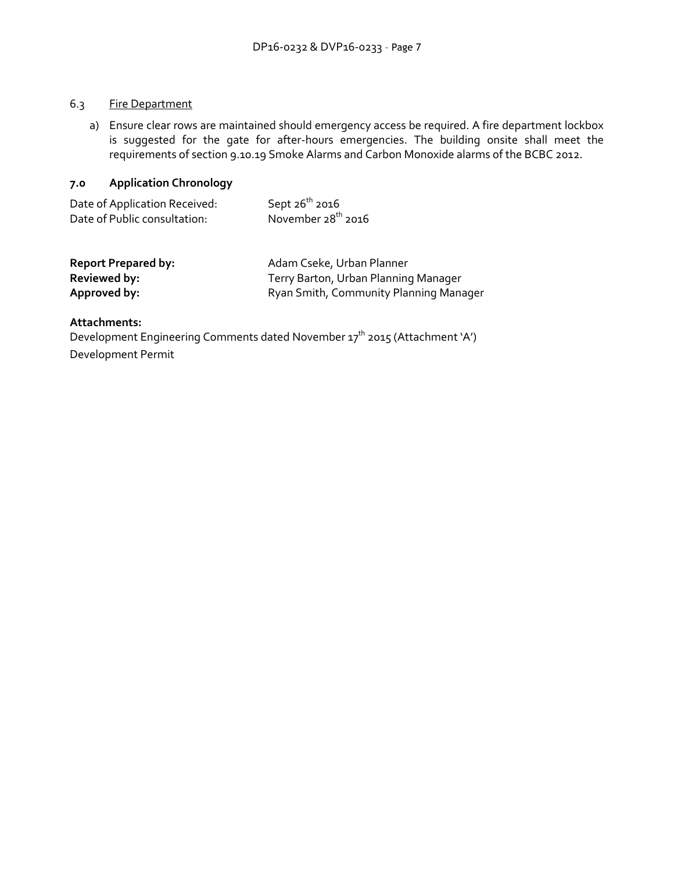#### 6.3 Fire Department

a) Ensure clear rows are maintained should emergency access be required. A fire department lockbox is suggested for the gate for after-hours emergencies. The building onsite shall meet the requirements of section 9.10.19 Smoke Alarms and Carbon Monoxide alarms of the BCBC 2012.

# **7.0 Application Chronology**

| Date of Application Received: | Sept $26^{th}$ 2016     |
|-------------------------------|-------------------------|
| Date of Public consultation:  | November $28^{th}$ 2016 |

| <b>Report Prepared by:</b> | Adam Cseke, Urban Planner              |
|----------------------------|----------------------------------------|
| Reviewed by:               | Terry Barton, Urban Planning Manager   |
| Approved by:               | Ryan Smith, Community Planning Manager |

#### **Attachments:**

Development Engineering Comments dated November 17<sup>th</sup> 2015 (Attachment 'A') Development Permit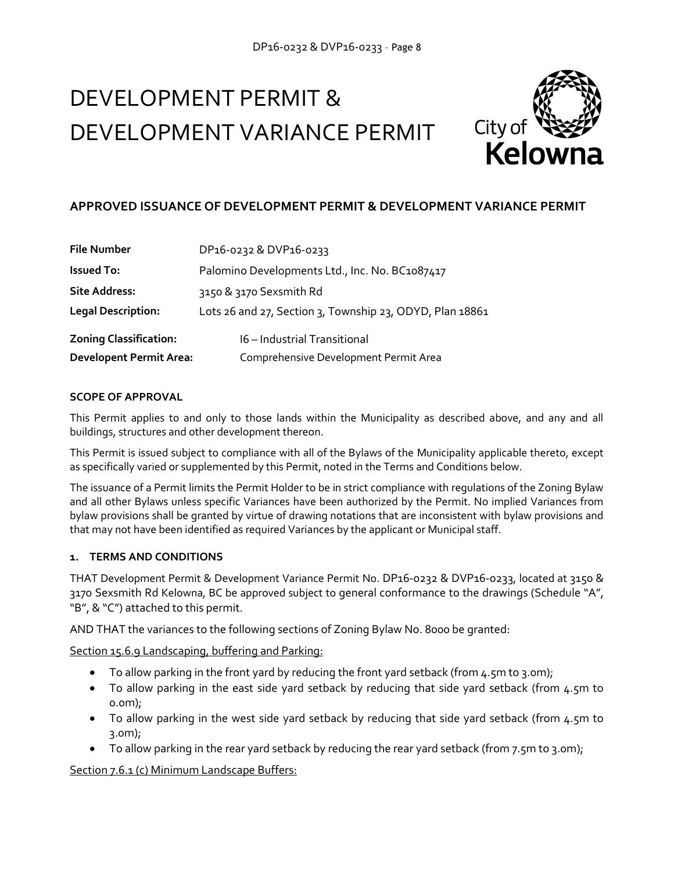# DEVELOPMENT PERMIT & DEVELOPMENT VARIANCE PERMIT



# **APPROVED ISSUANCE OF DEVELOPMENT PERMIT & DEVELOPMENT VARIANCE PERMIT**

| <b>File Number</b>             | DP16-0232 & DVP16-0233                                   |  |
|--------------------------------|----------------------------------------------------------|--|
| <b>Issued To:</b>              | Palomino Developments Ltd., Inc. No. BC1087417           |  |
| <b>Site Address:</b>           | 3150 & 3170 Sexsmith Rd                                  |  |
| <b>Legal Description:</b>      | Lots 26 and 27, Section 3, Township 23, ODYD, Plan 18861 |  |
| <b>Zoning Classification:</b>  | 16 - Industrial Transitional                             |  |
| <b>Developent Permit Area:</b> | Comprehensive Development Permit Area                    |  |

#### **SCOPE OF APPROVAL**

This Permit applies to and only to those lands within the Municipality as described above, and any and all buildings, structures and other development thereon.

This Permit is issued subject to compliance with all of the Bylaws of the Municipality applicable thereto, except as specifically varied or supplemented by this Permit, noted in the Terms and Conditions below.

The issuance of a Permit limits the Permit Holder to be in strict compliance with regulations of the Zoning Bylaw and all other Bylaws unless specific Variances have been authorized by the Permit. No implied Variances from bylaw provisions shall be granted by virtue of drawing notations that are inconsistent with bylaw provisions and that may not have been identified as required Variances by the applicant or Municipal staff.

#### **1. TERMS AND CONDITIONS**

THAT Development Permit & Development Variance Permit No. DP16-0232 & DVP16-0233, located at 3150 & 3170 Sexsmith Rd Kelowna, BC be approved subject to general conformance to the drawings (Schedule "A", "B", & "C") attached to this permit.

AND THAT the variances to the following sections of Zoning Bylaw No. 8000 be granted:

Section 15.6.9 Landscaping, buffering and Parking:

- To allow parking in the front yard by reducing the front yard setback (from 4.5m to 3.0m);
- To allow parking in the east side yard setback by reducing that side yard setback (from 4.5m to 0.0m);
- To allow parking in the west side yard setback by reducing that side yard setback (from 4.5m to 3.0m);
- To allow parking in the rear yard setback by reducing the rear yard setback (from 7.5m to 3.0m);

Section 7.6.1 (c) Minimum Landscape Buffers: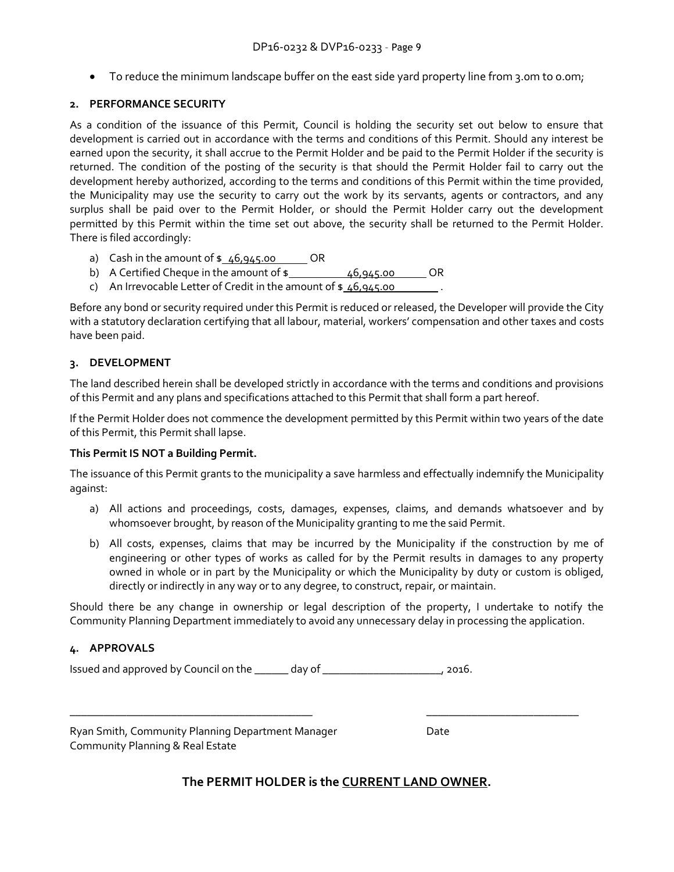• To reduce the minimum landscape buffer on the east side yard property line from 3.0m to 0.0m;

#### **2. PERFORMANCE SECURITY**

As a condition of the issuance of this Permit, Council is holding the security set out below to ensure that development is carried out in accordance with the terms and conditions of this Permit. Should any interest be earned upon the security, it shall accrue to the Permit Holder and be paid to the Permit Holder if the security is returned. The condition of the posting of the security is that should the Permit Holder fail to carry out the development hereby authorized, according to the terms and conditions of this Permit within the time provided, the Municipality may use the security to carry out the work by its servants, agents or contractors, and any surplus shall be paid over to the Permit Holder, or should the Permit Holder carry out the development permitted by this Permit within the time set out above, the security shall be returned to the Permit Holder. There is filed accordingly:

- a) Cash in the amount of  $\frac{46,945.00}{28}$  OR
- b) A Certified Cheque in the amount of  $\frac{1}{2}$  46,945.00 OR
- c) An Irrevocable Letter of Credit in the amount of  $\frac{1}{2}$  46,945.00

Before any bond or security required under this Permit is reduced or released, the Developer will provide the City with a statutory declaration certifying that all labour, material, workers' compensation and other taxes and costs have been paid.

#### **3. DEVELOPMENT**

The land described herein shall be developed strictly in accordance with the terms and conditions and provisions of this Permit and any plans and specifications attached to this Permit that shall form a part hereof.

If the Permit Holder does not commence the development permitted by this Permit within two years of the date of this Permit, this Permit shall lapse.

#### **This Permit IS NOT a Building Permit.**

The issuance of this Permit grants to the municipality a save harmless and effectually indemnify the Municipality against:

- a) All actions and proceedings, costs, damages, expenses, claims, and demands whatsoever and by whomsoever brought, by reason of the Municipality granting to me the said Permit.
- b) All costs, expenses, claims that may be incurred by the Municipality if the construction by me of engineering or other types of works as called for by the Permit results in damages to any property owned in whole or in part by the Municipality or which the Municipality by duty or custom is obliged, directly or indirectly in any way or to any degree, to construct, repair, or maintain.

Should there be any change in ownership or legal description of the property, I undertake to notify the Community Planning Department immediately to avoid any unnecessary delay in processing the application.

#### **4. APPROVALS**

Issued and approved by Council on the \_\_\_\_\_\_ day of \_\_\_\_\_\_\_\_\_\_\_\_\_\_\_\_\_\_\_\_\_, 2016.

Ryan Smith, Community Planning Department Manager Date Community Planning & Real Estate

# **The PERMIT HOLDER is the CURRENT LAND OWNER.**

\_\_\_\_\_\_\_\_\_\_\_\_\_\_\_\_\_\_\_\_\_\_\_\_\_\_\_\_\_\_\_\_\_\_\_\_\_\_\_\_\_\_\_ \_\_\_\_\_\_\_\_\_\_\_\_\_\_\_\_\_\_\_\_\_\_\_\_\_\_\_